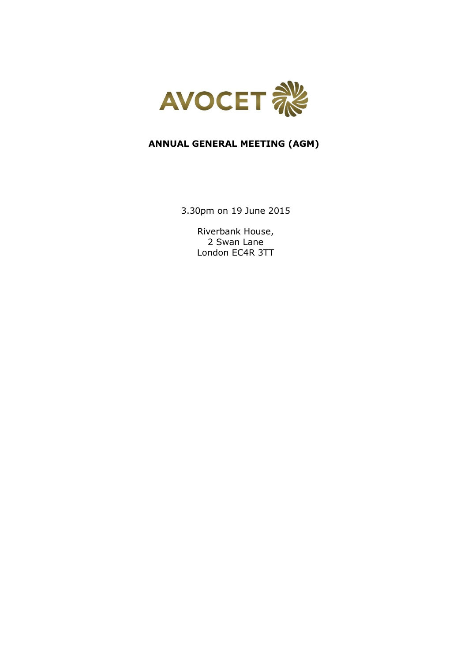

# **ANNUAL GENERAL MEETING (AGM)**

3.30pm on 19 June 2015

Riverbank House, 2 Swan Lane London EC4R 3TT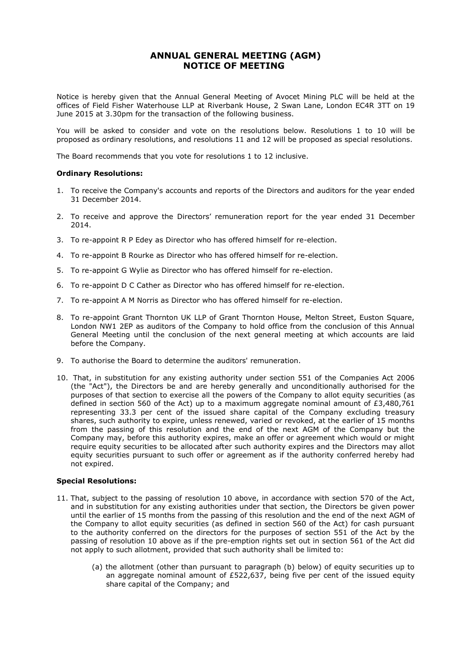# **ANNUAL GENERAL MEETING (AGM) NOTICE OF MEETING**

Notice is hereby given that the Annual General Meeting of Avocet Mining PLC will be held at the offices of Field Fisher Waterhouse LLP at Riverbank House, 2 Swan Lane, London EC4R 3TT on 19 June 2015 at 3.30pm for the transaction of the following business.

You will be asked to consider and vote on the resolutions below. Resolutions 1 to 10 will be proposed as ordinary resolutions, and resolutions 11 and 12 will be proposed as special resolutions.

The Board recommends that you vote for resolutions 1 to 12 inclusive.

# **Ordinary Resolutions:**

- 1. To receive the Company's accounts and reports of the Directors and auditors for the year ended 31 December 2014.
- 2. To receive and approve the Directors' remuneration report for the year ended 31 December 2014.
- 3. To re-appoint R P Edey as Director who has offered himself for re-election.
- 4. To re-appoint B Rourke as Director who has offered himself for re-election.
- 5. To re-appoint G Wylie as Director who has offered himself for re-election.
- 6. To re-appoint D C Cather as Director who has offered himself for re-election.
- 7. To re-appoint A M Norris as Director who has offered himself for re-election.
- 8. To re-appoint Grant Thornton UK LLP of Grant Thornton House, Melton Street, Euston Square, London NW1 2EP as auditors of the Company to hold office from the conclusion of this Annual General Meeting until the conclusion of the next general meeting at which accounts are laid before the Company.
- 9. To authorise the Board to determine the auditors' remuneration.
- 10. That, in substitution for any existing authority under section 551 of the Companies Act 2006 (the "Act"), the Directors be and are hereby generally and unconditionally authorised for the purposes of that section to exercise all the powers of the Company to allot equity securities (as defined in section 560 of the Act) up to a maximum aggregate nominal amount of £3,480,761 representing 33.3 per cent of the issued share capital of the Company excluding treasury shares, such authority to expire, unless renewed, varied or revoked, at the earlier of 15 months from the passing of this resolution and the end of the next AGM of the Company but the Company may, before this authority expires, make an offer or agreement which would or might require equity securities to be allocated after such authority expires and the Directors may allot equity securities pursuant to such offer or agreement as if the authority conferred hereby had not expired.

# **Special Resolutions:**

- 11. That, subject to the passing of resolution 10 above, in accordance with section 570 of the Act, and in substitution for any existing authorities under that section, the Directors be given power until the earlier of 15 months from the passing of this resolution and the end of the next AGM of the Company to allot equity securities (as defined in section 560 of the Act) for cash pursuant to the authority conferred on the directors for the purposes of section 551 of the Act by the passing of resolution 10 above as if the pre-emption rights set out in section 561 of the Act did not apply to such allotment, provided that such authority shall be limited to:
	- (a) the allotment (other than pursuant to paragraph (b) below) of equity securities up to an aggregate nominal amount of  $£522,637$ , being five per cent of the issued equity share capital of the Company; and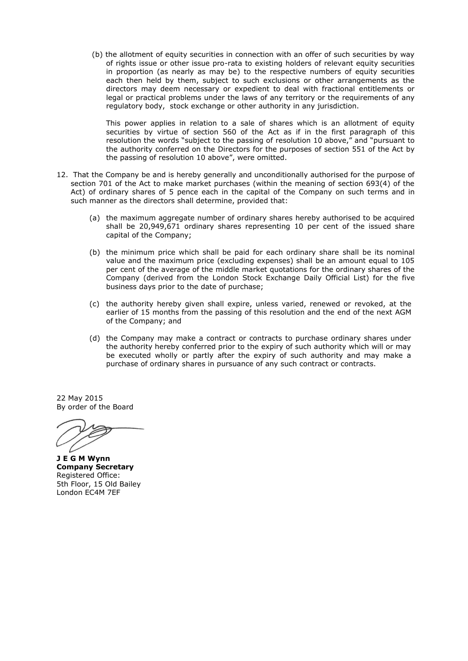(b) the allotment of equity securities in connection with an offer of such securities by way of rights issue or other issue pro-rata to existing holders of relevant equity securities in proportion (as nearly as may be) to the respective numbers of equity securities each then held by them, subject to such exclusions or other arrangements as the directors may deem necessary or expedient to deal with fractional entitlements or legal or practical problems under the laws of any territory or the requirements of any regulatory body, stock exchange or other authority in any jurisdiction.

This power applies in relation to a sale of shares which is an allotment of equity securities by virtue of section 560 of the Act as if in the first paragraph of this resolution the words "subject to the passing of resolution 10 above," and "pursuant to the authority conferred on the Directors for the purposes of section 551 of the Act by the passing of resolution 10 above", were omitted.

- 12. That the Company be and is hereby generally and unconditionally authorised for the purpose of section 701 of the Act to make market purchases (within the meaning of section 693(4) of the Act) of ordinary shares of 5 pence each in the capital of the Company on such terms and in such manner as the directors shall determine, provided that:
	- (a) the maximum aggregate number of ordinary shares hereby authorised to be acquired shall be 20,949,671 ordinary shares representing 10 per cent of the issued share capital of the Company;
	- (b) the minimum price which shall be paid for each ordinary share shall be its nominal value and the maximum price (excluding expenses) shall be an amount equal to 105 per cent of the average of the middle market quotations for the ordinary shares of the Company (derived from the London Stock Exchange Daily Official List) for the five business days prior to the date of purchase;
	- (c) the authority hereby given shall expire, unless varied, renewed or revoked, at the earlier of 15 months from the passing of this resolution and the end of the next AGM of the Company; and
	- (d) the Company may make a contract or contracts to purchase ordinary shares under the authority hereby conferred prior to the expiry of such authority which will or may be executed wholly or partly after the expiry of such authority and may make a purchase of ordinary shares in pursuance of any such contract or contracts.

22 May 2015 By order of the Board

**J E G M Wynn Company Secretary** Registered Office: 5th Floor, 15 Old Bailey London EC4M 7EF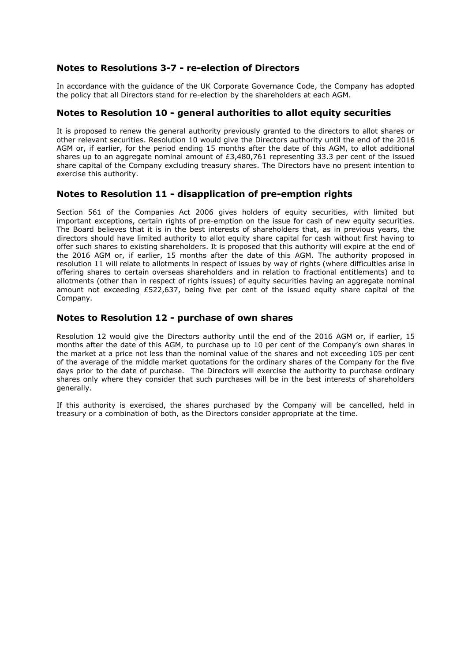# **Notes to Resolutions 3-7 - re-election of Directors**

In accordance with the guidance of the UK Corporate Governance Code, the Company has adopted the policy that all Directors stand for re-election by the shareholders at each AGM.

# **Notes to Resolution 10 - general authorities to allot equity securities**

It is proposed to renew the general authority previously granted to the directors to allot shares or other relevant securities. Resolution 10 would give the Directors authority until the end of the 2016 AGM or, if earlier, for the period ending 15 months after the date of this AGM, to allot additional shares up to an aggregate nominal amount of £3,480,761 representing 33.3 per cent of the issued share capital of the Company excluding treasury shares. The Directors have no present intention to exercise this authority.

# **Notes to Resolution 11 - disapplication of pre-emption rights**

Section 561 of the Companies Act 2006 gives holders of equity securities, with limited but important exceptions, certain rights of pre-emption on the issue for cash of new equity securities. The Board believes that it is in the best interests of shareholders that, as in previous years, the directors should have limited authority to allot equity share capital for cash without first having to offer such shares to existing shareholders. It is proposed that this authority will expire at the end of the 2016 AGM or, if earlier, 15 months after the date of this AGM. The authority proposed in resolution 11 will relate to allotments in respect of issues by way of rights (where difficulties arise in offering shares to certain overseas shareholders and in relation to fractional entitlements) and to allotments (other than in respect of rights issues) of equity securities having an aggregate nominal amount not exceeding £522,637, being five per cent of the issued equity share capital of the Company.

# **Notes to Resolution 12 - purchase of own shares**

Resolution 12 would give the Directors authority until the end of the 2016 AGM or, if earlier, 15 months after the date of this AGM, to purchase up to 10 per cent of the Company's own shares in the market at a price not less than the nominal value of the shares and not exceeding 105 per cent of the average of the middle market quotations for the ordinary shares of the Company for the five days prior to the date of purchase. The Directors will exercise the authority to purchase ordinary shares only where they consider that such purchases will be in the best interests of shareholders generally.

If this authority is exercised, the shares purchased by the Company will be cancelled, held in treasury or a combination of both, as the Directors consider appropriate at the time.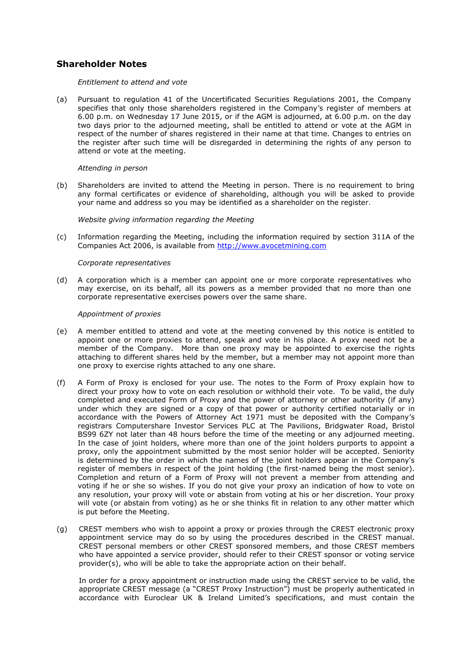# **Shareholder Notes**

### *Entitlement to attend and vote*

(a) Pursuant to regulation 41 of the Uncertificated Securities Regulations 2001, the Company specifies that only those shareholders registered in the Company's register of members at 6.00 p.m. on Wednesday 17 June 2015, or if the AGM is adjourned, at 6.00 p.m. on the day two days prior to the adjourned meeting, shall be entitled to attend or vote at the AGM in respect of the number of shares registered in their name at that time. Changes to entries on the register after such time will be disregarded in determining the rights of any person to attend or vote at the meeting.

### *Attending in person*

(b) Shareholders are invited to attend the Meeting in person. There is no requirement to bring any formal certificates or evidence of shareholding, although you will be asked to provide your name and address so you may be identified as a shareholder on the register.

### *Website giving information regarding the Meeting*

(c) Information regarding the Meeting, including the information required by section 311A of the Companies Act 2006, is available from [http://www.avocetmining.com](http://www.avocetmining.com/)

# *Corporate representatives*

(d) A corporation which is a member can appoint one or more corporate representatives who may exercise, on its behalf, all its powers as a member provided that no more than one corporate representative exercises powers over the same share.

### *Appointment of proxies*

- (e) A member entitled to attend and vote at the meeting convened by this notice is entitled to appoint one or more proxies to attend, speak and vote in his place. A proxy need not be a member of the Company. More than one proxy may be appointed to exercise the rights attaching to different shares held by the member, but a member may not appoint more than one proxy to exercise rights attached to any one share.
- (f) A Form of Proxy is enclosed for your use. The notes to the Form of Proxy explain how to direct your proxy how to vote on each resolution or withhold their vote. To be valid, the duly completed and executed Form of Proxy and the power of attorney or other authority (if any) under which they are signed or a copy of that power or authority certified notarially or in accordance with the Powers of Attorney Act 1971 must be deposited with the Company's registrars Computershare Investor Services PLC at The Pavilions, Bridgwater Road, Bristol BS99 6ZY not later than 48 hours before the time of the meeting or any adjourned meeting. In the case of joint holders, where more than one of the joint holders purports to appoint a proxy, only the appointment submitted by the most senior holder will be accepted. Seniority is determined by the order in which the names of the joint holders appear in the Company's register of members in respect of the joint holding (the first-named being the most senior). Completion and return of a Form of Proxy will not prevent a member from attending and voting if he or she so wishes. If you do not give your proxy an indication of how to vote on any resolution, your proxy will vote or abstain from voting at his or her discretion. Your proxy will vote (or abstain from voting) as he or she thinks fit in relation to any other matter which is put before the Meeting.
- (g) CREST members who wish to appoint a proxy or proxies through the CREST electronic proxy appointment service may do so by using the procedures described in the CREST manual. CREST personal members or other CREST sponsored members, and those CREST members who have appointed a service provider, should refer to their CREST sponsor or voting service provider(s), who will be able to take the appropriate action on their behalf.

In order for a proxy appointment or instruction made using the CREST service to be valid, the appropriate CREST message (a "CREST Proxy Instruction") must be properly authenticated in accordance with Euroclear UK & Ireland Limited's specifications, and must contain the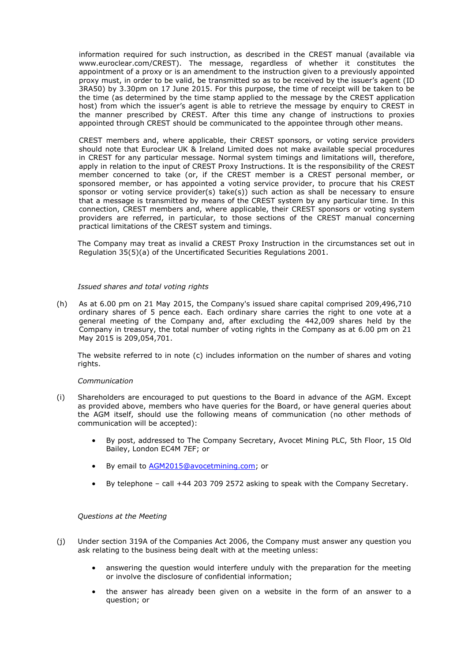information required for such instruction, as described in the CREST manual (available via www.euroclear.com/CREST). The message, regardless of whether it constitutes the appointment of a proxy or is an amendment to the instruction given to a previously appointed proxy must, in order to be valid, be transmitted so as to be received by the issuer's agent (ID 3RA50) by 3.30pm on 17 June 2015. For this purpose, the time of receipt will be taken to be the time (as determined by the time stamp applied to the message by the CREST application host) from which the issuer's agent is able to retrieve the message by enquiry to CREST in the manner prescribed by CREST. After this time any change of instructions to proxies appointed through CREST should be communicated to the appointee through other means.

CREST members and, where applicable, their CREST sponsors, or voting service providers should note that Euroclear UK & Ireland Limited does not make available special procedures in CREST for any particular message. Normal system timings and limitations will, therefore, apply in relation to the input of CREST Proxy Instructions. It is the responsibility of the CREST member concerned to take (or, if the CREST member is a CREST personal member, or sponsored member, or has appointed a voting service provider, to procure that his CREST sponsor or voting service provider(s) take(s)) such action as shall be necessary to ensure that a message is transmitted by means of the CREST system by any particular time. In this connection, CREST members and, where applicable, their CREST sponsors or voting system providers are referred, in particular, to those sections of the CREST manual concerning practical limitations of the CREST system and timings.

The Company may treat as invalid a CREST Proxy Instruction in the circumstances set out in Regulation 35(5)(a) of the Uncertificated Securities Regulations 2001.

### *Issued shares and total voting rights*

(h) As at 6.00 pm on 21 May 2015, the Company's issued share capital comprised 209,496,710 ordinary shares of 5 pence each. Each ordinary share carries the right to one vote at a general meeting of the Company and, after excluding the 442,009 shares held by the Company in treasury, the total number of voting rights in the Company as at 6.00 pm on 21 May 2015 is 209,054,701.

The website referred to in note (c) includes information on the number of shares and voting rights.

### *Communication*

- (i) Shareholders are encouraged to put questions to the Board in advance of the AGM. Except as provided above, members who have queries for the Board, or have general queries about the AGM itself, should use the following means of communication (no other methods of communication will be accepted):
	- By post, addressed to The Company Secretary, Avocet Mining PLC, 5th Floor, 15 Old Bailey, London EC4M 7EF; or
	- By email to **AGM2015@avocetmining.com**; or
	- By telephone call +44 203 709 2572 asking to speak with the Company Secretary.

### *Questions at the Meeting*

- (j) Under section 319A of the Companies Act 2006, the Company must answer any question you ask relating to the business being dealt with at the meeting unless:
	- answering the question would interfere unduly with the preparation for the meeting or involve the disclosure of confidential information;
	- the answer has already been given on a website in the form of an answer to a question; or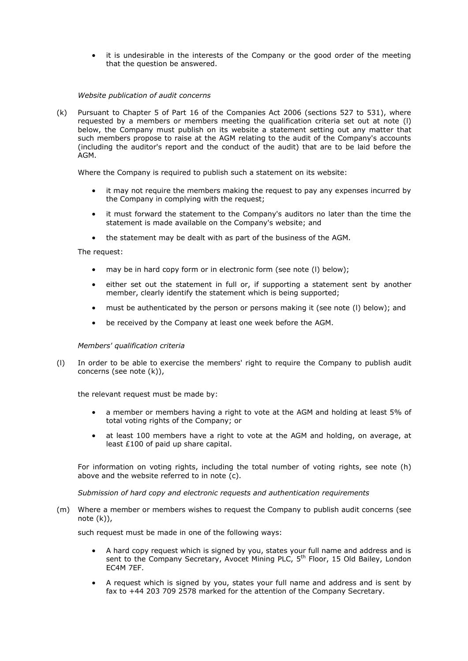it is undesirable in the interests of the Company or the good order of the meeting that the question be answered.

### *Website publication of audit concerns*

(k) Pursuant to Chapter 5 of Part 16 of the Companies Act 2006 (sections 527 to 531), where requested by a members or members meeting the qualification criteria set out at note (l) below, the Company must publish on its website a statement setting out any matter that such members propose to raise at the AGM relating to the audit of the Company's accounts (including the auditor's report and the conduct of the audit) that are to be laid before the AGM.

Where the Company is required to publish such a statement on its website:

- it may not require the members making the request to pay any expenses incurred by the Company in complying with the request;
- it must forward the statement to the Company's auditors no later than the time the statement is made available on the Company's website; and
- the statement may be dealt with as part of the business of the AGM.

### The request:

- may be in hard copy form or in electronic form (see note (l) below);
- either set out the statement in full or, if supporting a statement sent by another member, clearly identify the statement which is being supported;
- must be authenticated by the person or persons making it (see note (l) below); and
- be received by the Company at least one week before the AGM.

### *Members' qualification criteria*

(l) In order to be able to exercise the members' right to require the Company to publish audit concerns (see note (k)),

the relevant request must be made by:

- a member or members having a right to vote at the AGM and holding at least 5% of total voting rights of the Company; or
- at least 100 members have a right to vote at the AGM and holding, on average, at least £100 of paid up share capital.

For information on voting rights, including the total number of voting rights, see note (h) above and the website referred to in note (c).

*Submission of hard copy and electronic requests and authentication requirements*

(m) Where a member or members wishes to request the Company to publish audit concerns (see note (k)),

such request must be made in one of the following ways:

- A hard copy request which is signed by you, states your full name and address and is sent to the Company Secretary, Avocet Mining PLC, 5<sup>th</sup> Floor, 15 Old Bailey, London EC4M 7EF.
- A request which is signed by you, states your full name and address and is sent by fax to +44 203 709 2578 marked for the attention of the Company Secretary.